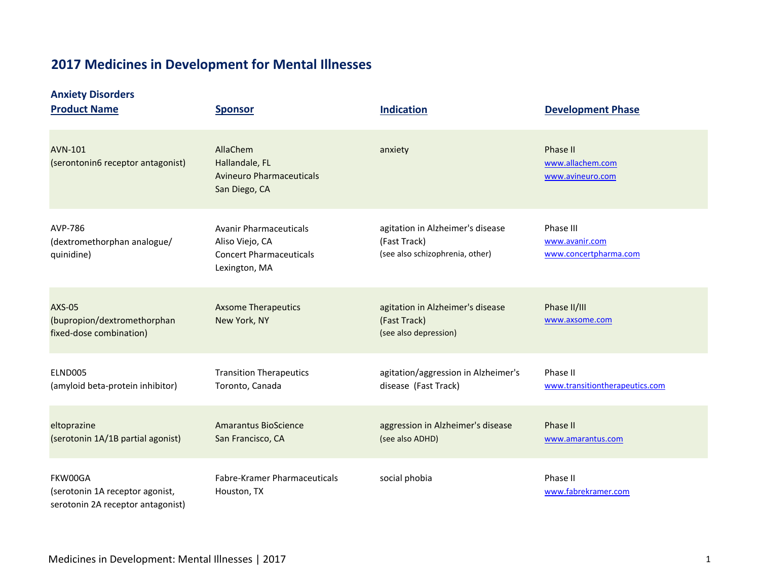# **2017 Medicines in Development for Mental Illnesses**

### **Anxiety Disorders**

| <b>Product Name</b>                                                             | <b>Sponsor</b>                                                                                      | <b>Indication</b>                                                                   | <b>Development Phase</b>                             |
|---------------------------------------------------------------------------------|-----------------------------------------------------------------------------------------------------|-------------------------------------------------------------------------------------|------------------------------------------------------|
| <b>AVN-101</b><br>(serontonin6 receptor antagonist)                             | AllaChem<br>Hallandale, FL<br><b>Avineuro Pharmaceuticals</b><br>San Diego, CA                      | anxiety                                                                             | Phase II<br>www.allachem.com<br>www.avineuro.com     |
| AVP-786<br>(dextromethorphan analogue/<br>quinidine)                            | <b>Avanir Pharmaceuticals</b><br>Aliso Viejo, CA<br><b>Concert Pharmaceuticals</b><br>Lexington, MA | agitation in Alzheimer's disease<br>(Fast Track)<br>(see also schizophrenia, other) | Phase III<br>www.avanir.com<br>www.concertpharma.com |
| <b>AXS-05</b><br>(bupropion/dextromethorphan<br>fixed-dose combination)         | <b>Axsome Therapeutics</b><br>New York, NY                                                          | agitation in Alzheimer's disease<br>(Fast Track)<br>(see also depression)           | Phase II/III<br>www.axsome.com                       |
| ELND005<br>(amyloid beta-protein inhibitor)                                     | <b>Transition Therapeutics</b><br>Toronto, Canada                                                   | agitation/aggression in Alzheimer's<br>disease (Fast Track)                         | Phase II<br>www.transitiontherapeutics.com           |
| eltoprazine<br>(serotonin 1A/1B partial agonist)                                | Amarantus BioScience<br>San Francisco, CA                                                           | aggression in Alzheimer's disease<br>(see also ADHD)                                | Phase II<br>www.amarantus.com                        |
| FKW00GA<br>(serotonin 1A receptor agonist,<br>serotonin 2A receptor antagonist) | Fabre-Kramer Pharmaceuticals<br>Houston, TX                                                         | social phobia                                                                       | Phase II<br>www.fabrekramer.com                      |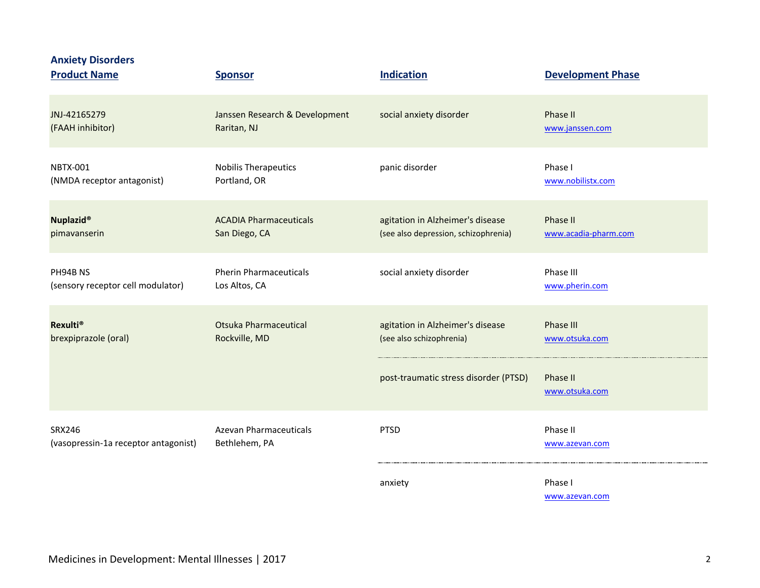| <b>Anxiety Disorders</b><br><b>Product Name</b> | <b>Sponsor</b>                 | <b>Indication</b>                     | <b>Development Phase</b>   |
|-------------------------------------------------|--------------------------------|---------------------------------------|----------------------------|
| JNJ-42165279                                    | Janssen Research & Development | social anxiety disorder               | Phase II                   |
| (FAAH inhibitor)                                | Raritan, NJ                    |                                       | www.janssen.com            |
| <b>NBTX-001</b>                                 | <b>Nobilis Therapeutics</b>    | panic disorder                        | Phase I                    |
| (NMDA receptor antagonist)                      | Portland, OR                   |                                       | www.nobilistx.com          |
| <b>Nuplazid®</b>                                | <b>ACADIA Pharmaceuticals</b>  | agitation in Alzheimer's disease      | Phase II                   |
| pimavanserin                                    | San Diego, CA                  | (see also depression, schizophrenia)  | www.acadia-pharm.com       |
| PH94B NS                                        | <b>Pherin Pharmaceuticals</b>  | social anxiety disorder               | Phase III                  |
| (sensory receptor cell modulator)               | Los Altos, CA                  |                                       | www.pherin.com             |
| <b>Rexulti®</b>                                 | <b>Otsuka Pharmaceutical</b>   | agitation in Alzheimer's disease      | Phase III                  |
| brexpiprazole (oral)                            | Rockville, MD                  | (see also schizophrenia)              | www.otsuka.com             |
|                                                 |                                | post-traumatic stress disorder (PTSD) | Phase II<br>www.otsuka.com |
| SRX246                                          | <b>Azevan Pharmaceuticals</b>  | <b>PTSD</b>                           | Phase II                   |
| (vasopressin-1a receptor antagonist)            | Bethlehem, PA                  |                                       | www.azevan.com             |
|                                                 |                                | anxiety                               | Phase I                    |

[www.azevan.com](http://www.azevan.com/)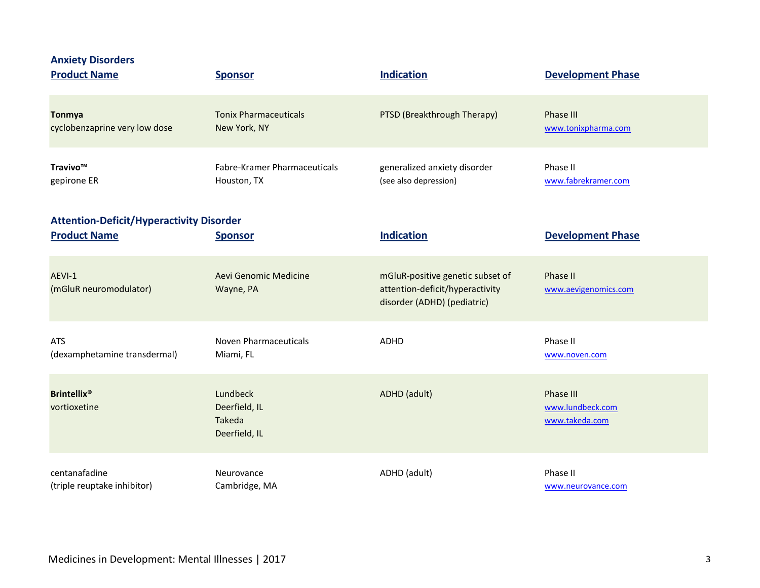| <b>Anxiety Disorders</b><br><b>Product Name</b>                        | <b>Sponsor</b>                                              | <b>Indication</b>                                                                                  | <b>Development Phase</b>                        |
|------------------------------------------------------------------------|-------------------------------------------------------------|----------------------------------------------------------------------------------------------------|-------------------------------------------------|
| <b>Tonmya</b>                                                          | <b>Tonix Pharmaceuticals</b>                                | PTSD (Breakthrough Therapy)                                                                        | <b>Phase III</b>                                |
| cyclobenzaprine very low dose                                          | New York, NY                                                |                                                                                                    | www.tonixpharma.com                             |
| Travivo™                                                               | Fabre-Kramer Pharmaceuticals                                | generalized anxiety disorder                                                                       | Phase II                                        |
| gepirone ER                                                            | Houston, TX                                                 | (see also depression)                                                                              | www.fabrekramer.com                             |
| <b>Attention-Deficit/Hyperactivity Disorder</b><br><b>Product Name</b> | <b>Sponsor</b>                                              | <b>Indication</b>                                                                                  | <b>Development Phase</b>                        |
| AEVI-1<br>(mGluR neuromodulator)                                       | Aevi Genomic Medicine<br>Wayne, PA                          | mGluR-positive genetic subset of<br>attention-deficit/hyperactivity<br>disorder (ADHD) (pediatric) | Phase II<br>www.aevigenomics.com                |
| <b>ATS</b>                                                             | Noven Pharmaceuticals                                       | <b>ADHD</b>                                                                                        | Phase II                                        |
| (dexamphetamine transdermal)                                           | Miami, FL                                                   |                                                                                                    | www.noven.com                                   |
| <b>Brintellix<sup>®</sup></b><br>vortioxetine                          | Lundbeck<br>Deerfield, IL<br><b>Takeda</b><br>Deerfield, IL | ADHD (adult)                                                                                       | Phase III<br>www.lundbeck.com<br>www.takeda.com |
| centanafadine                                                          | Neurovance                                                  | ADHD (adult)                                                                                       | Phase II                                        |
| (triple reuptake inhibitor)                                            | Cambridge, MA                                               |                                                                                                    | www.neurovance.com                              |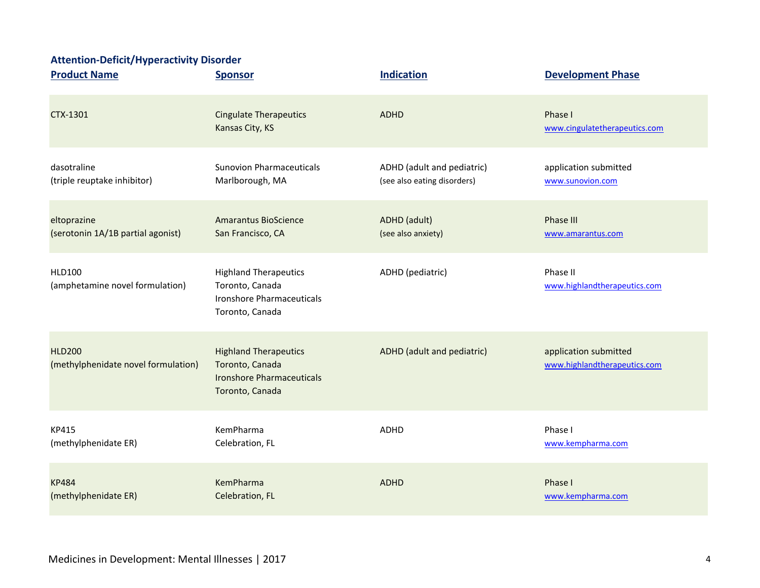### **Attention-Deficit/Hyperactivity Disorder**

| <b>Product Name</b>                                  | <b>Sponsor</b>                                                                                         | <b>Indication</b>           | <b>Development Phase</b>                              |
|------------------------------------------------------|--------------------------------------------------------------------------------------------------------|-----------------------------|-------------------------------------------------------|
| CTX-1301                                             | <b>Cingulate Therapeutics</b><br>Kansas City, KS                                                       | <b>ADHD</b>                 | Phase I<br>www.cingulatetherapeutics.com              |
| dasotraline                                          | <b>Sunovion Pharmaceuticals</b>                                                                        | ADHD (adult and pediatric)  | application submitted                                 |
| (triple reuptake inhibitor)                          | Marlborough, MA                                                                                        | (see also eating disorders) | www.sunovion.com                                      |
| eltoprazine                                          | <b>Amarantus BioScience</b>                                                                            | ADHD (adult)                | <b>Phase III</b>                                      |
| (serotonin 1A/1B partial agonist)                    | San Francisco, CA                                                                                      | (see also anxiety)          | www.amarantus.com                                     |
| <b>HLD100</b><br>(amphetamine novel formulation)     | <b>Highland Therapeutics</b><br>Toronto, Canada<br><b>Ironshore Pharmaceuticals</b><br>Toronto, Canada | ADHD (pediatric)            | Phase II<br>www.highlandtherapeutics.com              |
| <b>HLD200</b><br>(methylphenidate novel formulation) | <b>Highland Therapeutics</b><br>Toronto, Canada<br><b>Ironshore Pharmaceuticals</b><br>Toronto, Canada | ADHD (adult and pediatric)  | application submitted<br>www.highlandtherapeutics.com |
| KP415                                                | KemPharma                                                                                              | ADHD                        | Phase I                                               |
| (methylphenidate ER)                                 | Celebration, FL                                                                                        |                             | www.kempharma.com                                     |
| <b>KP484</b>                                         | KemPharma                                                                                              | <b>ADHD</b>                 | Phase I                                               |
| (methylphenidate ER)                                 | Celebration, FL                                                                                        |                             | www.kempharma.com                                     |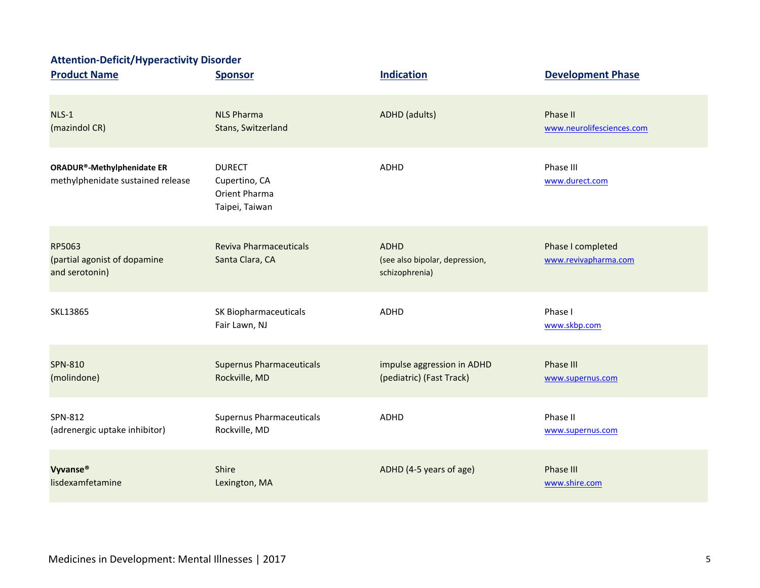## **Attention-Deficit/Hyperactivity Disorder**

| <b>Product Name</b>                                             | <b>Sponsor</b>                                                    | <b>Indication</b>                                               | <b>Development Phase</b>                  |
|-----------------------------------------------------------------|-------------------------------------------------------------------|-----------------------------------------------------------------|-------------------------------------------|
| $NLS-1$                                                         | <b>NLS Pharma</b>                                                 | <b>ADHD</b> (adults)                                            | Phase II                                  |
| (mazindol CR)                                                   | Stans, Switzerland                                                |                                                                 | www.neurolifesciences.com                 |
| ORADUR®-Methylphenidate ER<br>methylphenidate sustained release | <b>DURECT</b><br>Cupertino, CA<br>Orient Pharma<br>Taipei, Taiwan | <b>ADHD</b>                                                     | Phase III<br>www.durect.com               |
| RP5063<br>(partial agonist of dopamine<br>and serotonin)        | Reviva Pharmaceuticals<br>Santa Clara, CA                         | <b>ADHD</b><br>(see also bipolar, depression,<br>schizophrenia) | Phase I completed<br>www.revivapharma.com |
| SKL13865                                                        | SK Biopharmaceuticals<br>Fair Lawn, NJ                            | <b>ADHD</b>                                                     | Phase I<br>www.skbp.com                   |
| <b>SPN-810</b>                                                  | <b>Supernus Pharmaceuticals</b>                                   | impulse aggression in ADHD                                      | Phase III                                 |
| (molindone)                                                     | Rockville, MD                                                     | (pediatric) (Fast Track)                                        | www.supernus.com                          |
| SPN-812                                                         | <b>Supernus Pharmaceuticals</b>                                   | <b>ADHD</b>                                                     | Phase II                                  |
| (adrenergic uptake inhibitor)                                   | Rockville, MD                                                     |                                                                 | www.supernus.com                          |
| Vyvanse®                                                        | Shire                                                             | ADHD (4-5 years of age)                                         | <b>Phase III</b>                          |
| lisdexamfetamine                                                | Lexington, MA                                                     |                                                                 | www.shire.com                             |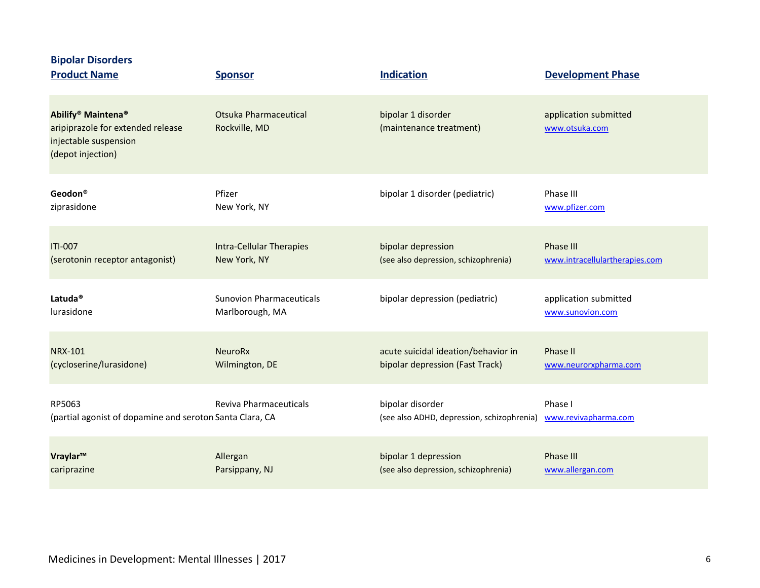| <b>Bipolar Disorders</b><br><b>Product Name</b>                                                                               | <b>Sponsor</b>                         | <b>Indication</b>                             | <b>Development Phase</b>                |
|-------------------------------------------------------------------------------------------------------------------------------|----------------------------------------|-----------------------------------------------|-----------------------------------------|
| Abilify <sup>®</sup> Maintena <sup>®</sup><br>aripiprazole for extended release<br>injectable suspension<br>(depot injection) | Otsuka Pharmaceutical<br>Rockville, MD | bipolar 1 disorder<br>(maintenance treatment) | application submitted<br>www.otsuka.com |
| Geodon®                                                                                                                       | Pfizer                                 | bipolar 1 disorder (pediatric)                | Phase III                               |
| ziprasidone                                                                                                                   | New York, NY                           |                                               | www.pfizer.com                          |
| <b>ITI-007</b>                                                                                                                | <b>Intra-Cellular Therapies</b>        | bipolar depression                            | Phase III                               |
| (serotonin receptor antagonist)                                                                                               | New York, NY                           | (see also depression, schizophrenia)          | www.intracellulartherapies.com          |
| Latuda <sup>®</sup>                                                                                                           | <b>Sunovion Pharmaceuticals</b>        | bipolar depression (pediatric)                | application submitted                   |
| lurasidone                                                                                                                    | Marlborough, MA                        |                                               | www.sunovion.com                        |
| <b>NRX-101</b>                                                                                                                | <b>NeuroRx</b>                         | acute suicidal ideation/behavior in           | Phase II                                |
| (cycloserine/lurasidone)                                                                                                      | Wilmington, DE                         | bipolar depression (Fast Track)               | www.neurorxpharma.com                   |
| RP5063                                                                                                                        | Reviva Pharmaceuticals                 | bipolar disorder                              | Phase I                                 |
| (partial agonist of dopamine and seroton Santa Clara, CA                                                                      |                                        | (see also ADHD, depression, schizophrenia)    | www.revivapharma.com                    |
| Vraylar™                                                                                                                      | Allergan                               | bipolar 1 depression                          | Phase III                               |
| cariprazine                                                                                                                   | Parsippany, NJ                         | (see also depression, schizophrenia)          | www.allergan.com                        |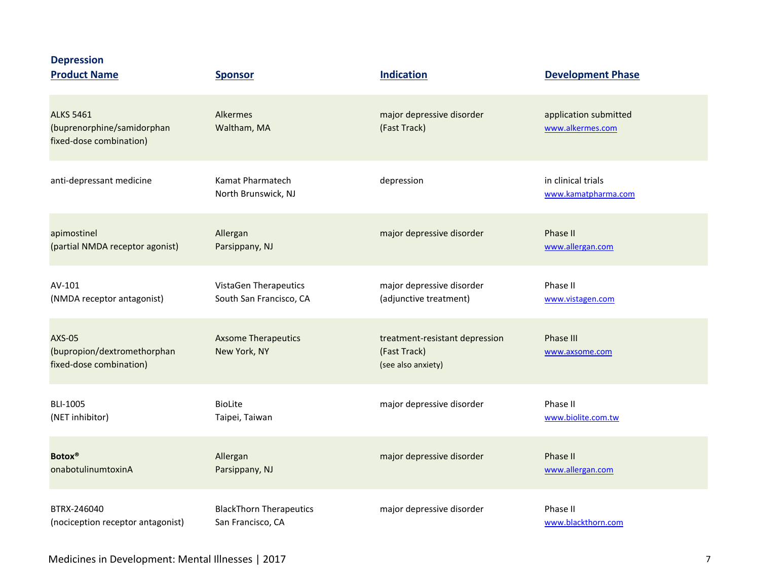| <b>Depression</b><br><b>Product Name</b>                                  | <b>Sponsor</b>                             | <b>Indication</b>                                                    | <b>Development Phase</b>                  |
|---------------------------------------------------------------------------|--------------------------------------------|----------------------------------------------------------------------|-------------------------------------------|
| <b>ALKS 5461</b><br>(buprenorphine/samidorphan<br>fixed-dose combination) | Alkermes<br>Waltham, MA                    | major depressive disorder<br>(Fast Track)                            | application submitted<br>www.alkermes.com |
| anti-depressant medicine                                                  | Kamat Pharmatech<br>North Brunswick, NJ    | depression                                                           | in clinical trials<br>www.kamatpharma.com |
| apimostinel                                                               | Allergan                                   | major depressive disorder                                            | Phase II                                  |
| (partial NMDA receptor agonist)                                           | Parsippany, NJ                             |                                                                      | www.allergan.com                          |
| AV-101                                                                    | <b>VistaGen Therapeutics</b>               | major depressive disorder                                            | Phase II                                  |
| (NMDA receptor antagonist)                                                | South San Francisco, CA                    | (adjunctive treatment)                                               | www.vistagen.com                          |
| <b>AXS-05</b><br>(bupropion/dextromethorphan<br>fixed-dose combination)   | <b>Axsome Therapeutics</b><br>New York, NY | treatment-resistant depression<br>(Fast Track)<br>(see also anxiety) | <b>Phase III</b><br>www.axsome.com        |
| <b>BLI-1005</b>                                                           | <b>BioLite</b>                             | major depressive disorder                                            | Phase II                                  |
| (NET inhibitor)                                                           | Taipei, Taiwan                             |                                                                      | www.biolite.com.tw                        |
| <b>Botox®</b>                                                             | Allergan                                   | major depressive disorder                                            | Phase II                                  |
| onabotulinumtoxinA                                                        | Parsippany, NJ                             |                                                                      | www.allergan.com                          |
| BTRX-246040                                                               | <b>BlackThorn Therapeutics</b>             | major depressive disorder                                            | Phase II                                  |
| (nociception receptor antagonist)                                         | San Francisco, CA                          |                                                                      | www.blackthorn.com                        |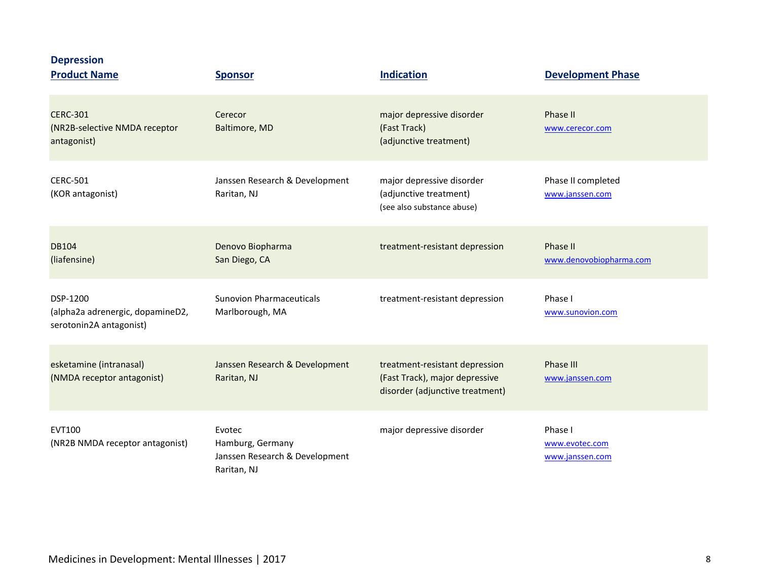| <b>Depression</b><br><b>Product Name</b>                                | <b>Sponsor</b>                                                              | <b>Indication</b>                                                                                   | <b>Development Phase</b>                     |
|-------------------------------------------------------------------------|-----------------------------------------------------------------------------|-----------------------------------------------------------------------------------------------------|----------------------------------------------|
| <b>CERC-301</b><br>(NR2B-selective NMDA receptor<br>antagonist)         | Cerecor<br>Baltimore, MD                                                    | major depressive disorder<br>(Fast Track)<br>(adjunctive treatment)                                 | Phase II<br>www.cerecor.com                  |
| <b>CERC-501</b><br>(KOR antagonist)                                     | Janssen Research & Development<br>Raritan, NJ                               | major depressive disorder<br>(adjunctive treatment)<br>(see also substance abuse)                   | Phase II completed<br>www.janssen.com        |
| <b>DB104</b><br>(liafensine)                                            | Denovo Biopharma<br>San Diego, CA                                           | treatment-resistant depression                                                                      | Phase II<br>www.denovobiopharma.com          |
| DSP-1200<br>(alpha2a adrenergic, dopamineD2,<br>serotonin2A antagonist) | <b>Sunovion Pharmaceuticals</b><br>Marlborough, MA                          | treatment-resistant depression                                                                      | Phase I<br>www.sunovion.com                  |
| esketamine (intranasal)<br>(NMDA receptor antagonist)                   | Janssen Research & Development<br>Raritan, NJ                               | treatment-resistant depression<br>(Fast Track), major depressive<br>disorder (adjunctive treatment) | <b>Phase III</b><br>www.janssen.com          |
| <b>EVT100</b><br>(NR2B NMDA receptor antagonist)                        | Evotec<br>Hamburg, Germany<br>Janssen Research & Development<br>Raritan, NJ | major depressive disorder                                                                           | Phase I<br>www.evotec.com<br>www.janssen.com |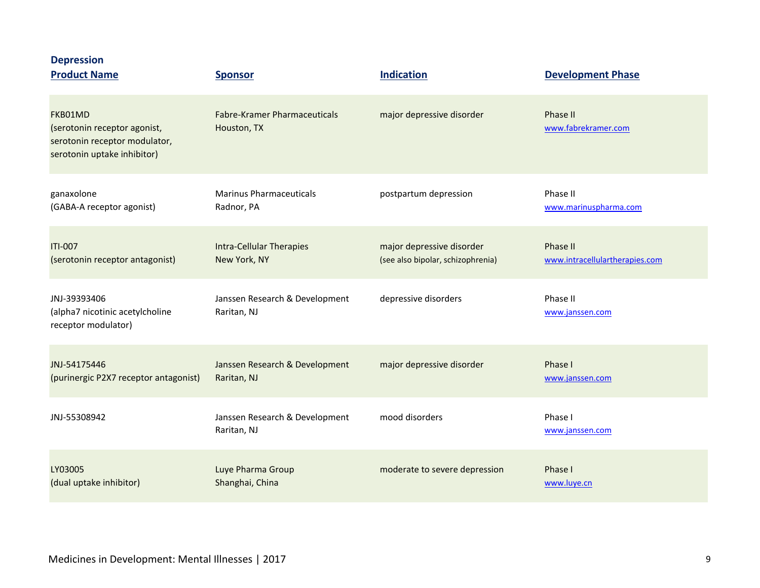| <b>Depression</b><br><b>Product Name</b>                                                                | <b>Sponsor</b>                                     | <b>Indication</b>                 | <b>Development Phase</b>        |
|---------------------------------------------------------------------------------------------------------|----------------------------------------------------|-----------------------------------|---------------------------------|
| FKB01MD<br>(serotonin receptor agonist,<br>serotonin receptor modulator,<br>serotonin uptake inhibitor) | <b>Fabre-Kramer Pharmaceuticals</b><br>Houston, TX | major depressive disorder         | Phase II<br>www.fabrekramer.com |
| ganaxolone                                                                                              | <b>Marinus Pharmaceuticals</b>                     | postpartum depression             | Phase II                        |
| (GABA-A receptor agonist)                                                                               | Radnor, PA                                         |                                   | www.marinuspharma.com           |
| <b>ITI-007</b>                                                                                          | <b>Intra-Cellular Therapies</b>                    | major depressive disorder         | Phase II                        |
| (serotonin receptor antagonist)                                                                         | New York, NY                                       | (see also bipolar, schizophrenia) | www.intracellulartherapies.com  |
| JNJ-39393406<br>(alpha7 nicotinic acetylcholine<br>receptor modulator)                                  | Janssen Research & Development<br>Raritan, NJ      | depressive disorders              | Phase II<br>www.janssen.com     |
| JNJ-54175446                                                                                            | Janssen Research & Development                     | major depressive disorder         | Phase I                         |
| (purinergic P2X7 receptor antagonist)                                                                   | Raritan, NJ                                        |                                   | www.janssen.com                 |
| JNJ-55308942                                                                                            | Janssen Research & Development<br>Raritan, NJ      | mood disorders                    | Phase I<br>www.janssen.com      |
| LY03005                                                                                                 | Luye Pharma Group                                  | moderate to severe depression     | Phase I                         |
| (dual uptake inhibitor)                                                                                 | Shanghai, China                                    |                                   | www.luye.cn                     |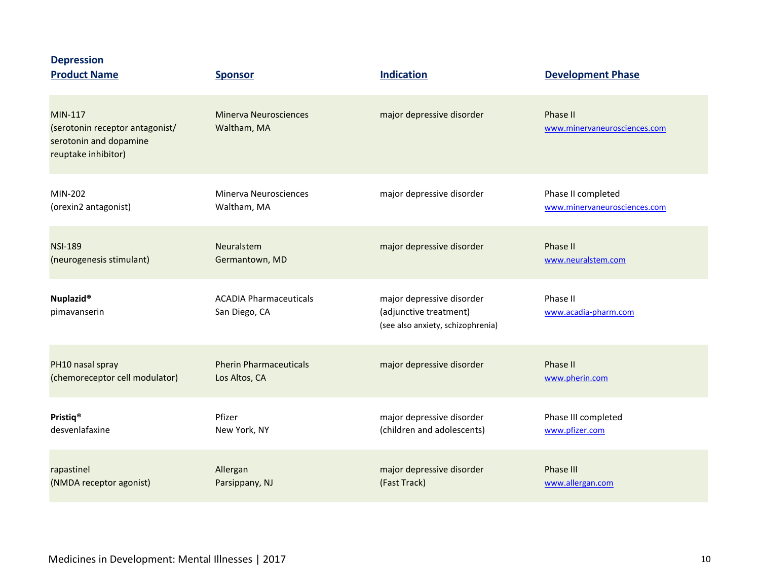| <b>Depression</b><br><b>Product Name</b>                                                    | <b>Sponsor</b>                                 | <b>Indication</b>                                                                        | <b>Development Phase</b>                 |
|---------------------------------------------------------------------------------------------|------------------------------------------------|------------------------------------------------------------------------------------------|------------------------------------------|
| MIN-117<br>(serotonin receptor antagonist/<br>serotonin and dopamine<br>reuptake inhibitor) | <b>Minerva Neurosciences</b><br>Waltham, MA    | major depressive disorder                                                                | Phase II<br>www.minervaneurosciences.com |
| MIN-202                                                                                     | <b>Minerva Neurosciences</b>                   | major depressive disorder                                                                | Phase II completed                       |
| (orexin2 antagonist)                                                                        | Waltham, MA                                    |                                                                                          | www.minervaneurosciences.com             |
| <b>NSI-189</b>                                                                              | Neuralstem                                     | major depressive disorder                                                                | Phase II                                 |
| (neurogenesis stimulant)                                                                    | Germantown, MD                                 |                                                                                          | www.neuralstem.com                       |
| <b>Nuplazid®</b><br>pimavanserin                                                            | <b>ACADIA Pharmaceuticals</b><br>San Diego, CA | major depressive disorder<br>(adjunctive treatment)<br>(see also anxiety, schizophrenia) | Phase II<br>www.acadia-pharm.com         |
| PH10 nasal spray                                                                            | <b>Pherin Pharmaceuticals</b>                  | major depressive disorder                                                                | Phase II                                 |
| (chemoreceptor cell modulator)                                                              | Los Altos, CA                                  |                                                                                          | www.pherin.com                           |
| Pristiq <sup>®</sup>                                                                        | Pfizer                                         | major depressive disorder                                                                | Phase III completed                      |
| desvenlafaxine                                                                              | New York, NY                                   | (children and adolescents)                                                               | www.pfizer.com                           |
| rapastinel                                                                                  | Allergan                                       | major depressive disorder                                                                | <b>Phase III</b>                         |
| (NMDA receptor agonist)                                                                     | Parsippany, NJ                                 | (Fast Track)                                                                             | www.allergan.com                         |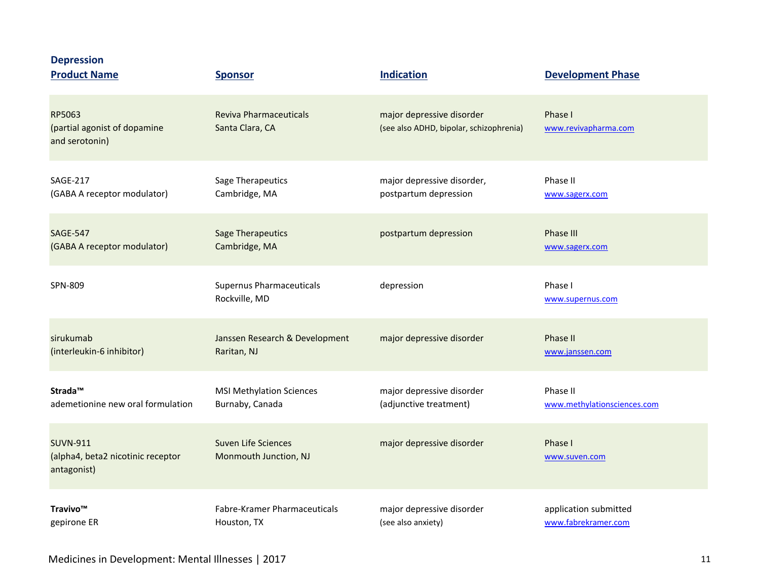| <b>Depression</b><br><b>Product Name</b>                            | <b>Sponsor</b>                                   | <b>Indication</b>                                                    | <b>Development Phase</b>        |
|---------------------------------------------------------------------|--------------------------------------------------|----------------------------------------------------------------------|---------------------------------|
| RP5063<br>(partial agonist of dopamine<br>and serotonin)            | <b>Reviva Pharmaceuticals</b><br>Santa Clara, CA | major depressive disorder<br>(see also ADHD, bipolar, schizophrenia) | Phase I<br>www.revivapharma.com |
| <b>SAGE-217</b>                                                     | Sage Therapeutics                                | major depressive disorder,                                           | Phase II                        |
| (GABA A receptor modulator)                                         | Cambridge, MA                                    | postpartum depression                                                | www.sagerx.com                  |
| <b>SAGE-547</b>                                                     | <b>Sage Therapeutics</b>                         | postpartum depression                                                | <b>Phase III</b>                |
| (GABA A receptor modulator)                                         | Cambridge, MA                                    |                                                                      | www.sagerx.com                  |
| SPN-809                                                             | Supernus Pharmaceuticals<br>Rockville, MD        | depression                                                           | Phase I<br>www.supernus.com     |
| sirukumab                                                           | Janssen Research & Development                   | major depressive disorder                                            | <b>Phase II</b>                 |
| (interleukin-6 inhibitor)                                           | Raritan, NJ                                      |                                                                      | www.janssen.com                 |
| Strada <sup>™</sup>                                                 | <b>MSI Methylation Sciences</b>                  | major depressive disorder                                            | Phase II                        |
| ademetionine new oral formulation                                   | Burnaby, Canada                                  | (adjunctive treatment)                                               | www.methylationsciences.com     |
| <b>SUVN-911</b><br>(alpha4, beta2 nicotinic receptor<br>antagonist) | Suven Life Sciences<br>Monmouth Junction, NJ     | major depressive disorder                                            | Phase I<br>www.suven.com        |
| Travivo™                                                            | Fabre-Kramer Pharmaceuticals                     | major depressive disorder                                            | application submitted           |
| gepirone ER                                                         | Houston, TX                                      | (see also anxiety)                                                   | www.fabrekramer.com             |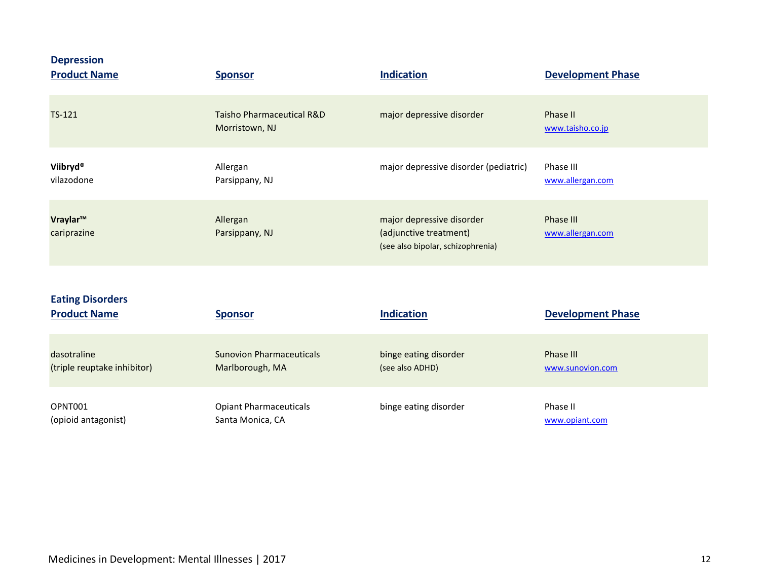| <b>Depression</b><br><b>Product Name</b> | <b>Sponsor</b>                              | <b>Indication</b>                                                                        | <b>Development Phase</b>      |
|------------------------------------------|---------------------------------------------|------------------------------------------------------------------------------------------|-------------------------------|
| TS-121                                   | Taisho Pharmaceutical R&D<br>Morristown, NJ | major depressive disorder                                                                | Phase II<br>www.taisho.co.jp  |
| Viibryd®<br>vilazodone                   | Allergan<br>Parsippany, NJ                  | major depressive disorder (pediatric)                                                    | Phase III<br>www.allergan.com |
| Vraylar™<br>cariprazine                  | Allergan<br>Parsippany, NJ                  | major depressive disorder<br>(adjunctive treatment)<br>(see also bipolar, schizophrenia) | Phase III<br>www.allergan.com |

| <b>Eating Disorders</b><br><b>Product Name</b> | <b>Sponsor</b>                  | <b>Indication</b>     | <b>Development Phase</b> |
|------------------------------------------------|---------------------------------|-----------------------|--------------------------|
| dasotraline                                    | <b>Sunovion Pharmaceuticals</b> | binge eating disorder | Phase III                |
| (triple reuptake inhibitor)                    | Marlborough, MA                 | (see also ADHD)       | www.sunovion.com         |
| OPNT001                                        | <b>Opiant Pharmaceuticals</b>   | binge eating disorder | Phase II                 |
| (opioid antagonist)                            | Santa Monica, CA                |                       | www.opiant.com           |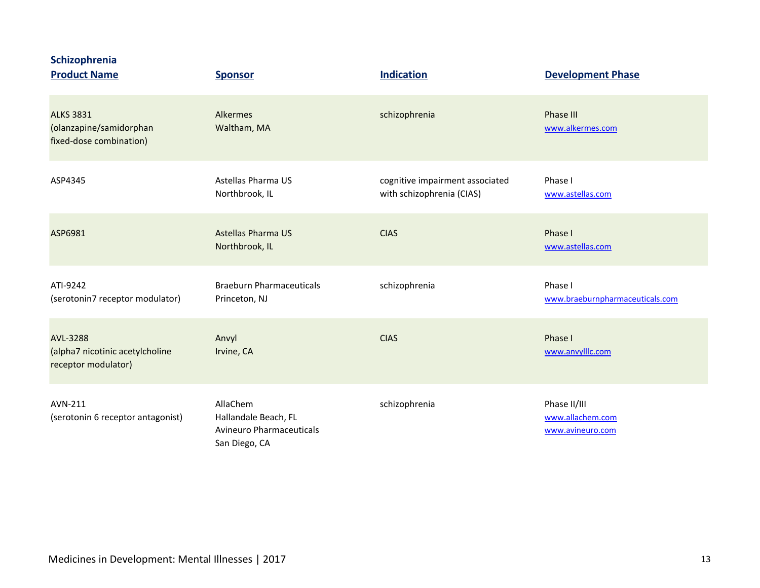|  |  |  | <b>Schizophrenia</b> |
|--|--|--|----------------------|
|  |  |  |                      |

| <b>Product Name</b>                                                    | <b>Sponsor</b>                                                                       | <b>Indication</b>                                            | <b>Development Phase</b>                             |
|------------------------------------------------------------------------|--------------------------------------------------------------------------------------|--------------------------------------------------------------|------------------------------------------------------|
| <b>ALKS 3831</b><br>(olanzapine/samidorphan<br>fixed-dose combination) | Alkermes<br>Waltham, MA                                                              | schizophrenia                                                | Phase III<br>www.alkermes.com                        |
| ASP4345                                                                | Astellas Pharma US<br>Northbrook, IL                                                 | cognitive impairment associated<br>with schizophrenia (CIAS) | Phase I<br>www.astellas.com                          |
| ASP6981                                                                | <b>Astellas Pharma US</b><br>Northbrook, IL                                          | <b>CIAS</b>                                                  | Phase I<br>www.astellas.com                          |
| ATI-9242<br>(serotonin7 receptor modulator)                            | <b>Braeburn Pharmaceuticals</b><br>Princeton, NJ                                     | schizophrenia                                                | Phase I<br>www.braeburnpharmaceuticals.com           |
| AVL-3288<br>(alpha7 nicotinic acetylcholine<br>receptor modulator)     | Anvyl<br>Irvine, CA                                                                  | <b>CIAS</b>                                                  | Phase I<br>www.anvylllc.com                          |
| AVN-211<br>(serotonin 6 receptor antagonist)                           | AllaChem<br>Hallandale Beach, FL<br><b>Avineuro Pharmaceuticals</b><br>San Diego, CA | schizophrenia                                                | Phase II/III<br>www.allachem.com<br>www.avineuro.com |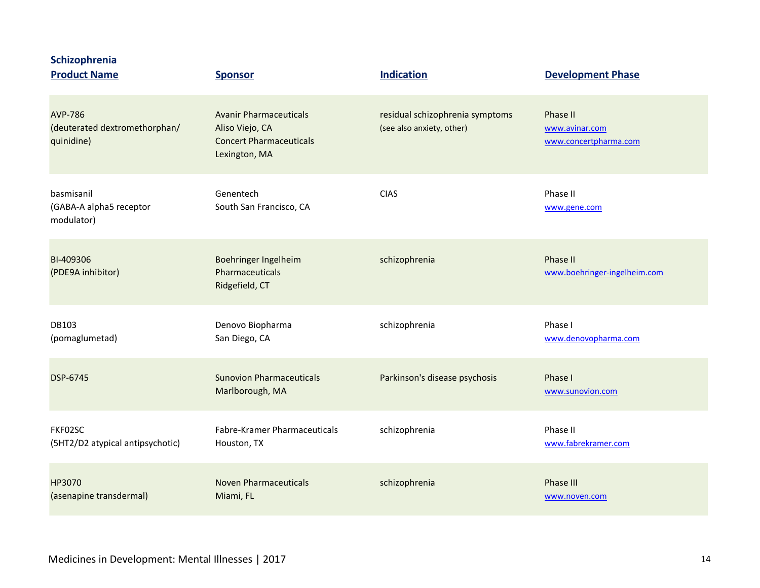| Schizophrenia<br><b>Product Name</b>                          | <b>Sponsor</b>                                                                                      | <b>Indication</b>                                            | <b>Development Phase</b>                            |
|---------------------------------------------------------------|-----------------------------------------------------------------------------------------------------|--------------------------------------------------------------|-----------------------------------------------------|
| <b>AVP-786</b><br>(deuterated dextromethorphan/<br>quinidine) | <b>Avanir Pharmaceuticals</b><br>Aliso Viejo, CA<br><b>Concert Pharmaceuticals</b><br>Lexington, MA | residual schizophrenia symptoms<br>(see also anxiety, other) | Phase II<br>www.avinar.com<br>www.concertpharma.com |
| basmisanil<br>(GABA-A alpha5 receptor<br>modulator)           | Genentech<br>South San Francisco, CA                                                                | <b>CIAS</b>                                                  | Phase II<br>www.gene.com                            |
| BI-409306<br>(PDE9A inhibitor)                                | Boehringer Ingelheim<br>Pharmaceuticals<br>Ridgefield, CT                                           | schizophrenia                                                | Phase II<br>www.boehringer-ingelheim.com            |
| DB103<br>(pomaglumetad)                                       | Denovo Biopharma<br>San Diego, CA                                                                   | schizophrenia                                                | Phase I<br>www.denovopharma.com                     |
| DSP-6745                                                      | <b>Sunovion Pharmaceuticals</b><br>Marlborough, MA                                                  | Parkinson's disease psychosis                                | Phase I<br>www.sunovion.com                         |
| FKF02SC<br>(5HT2/D2 atypical antipsychotic)                   | Fabre-Kramer Pharmaceuticals<br>Houston, TX                                                         | schizophrenia                                                | Phase II<br>www.fabrekramer.com                     |
| HP3070<br>(asenapine transdermal)                             | <b>Noven Pharmaceuticals</b><br>Miami, FL                                                           | schizophrenia                                                | Phase III<br>www.noven.com                          |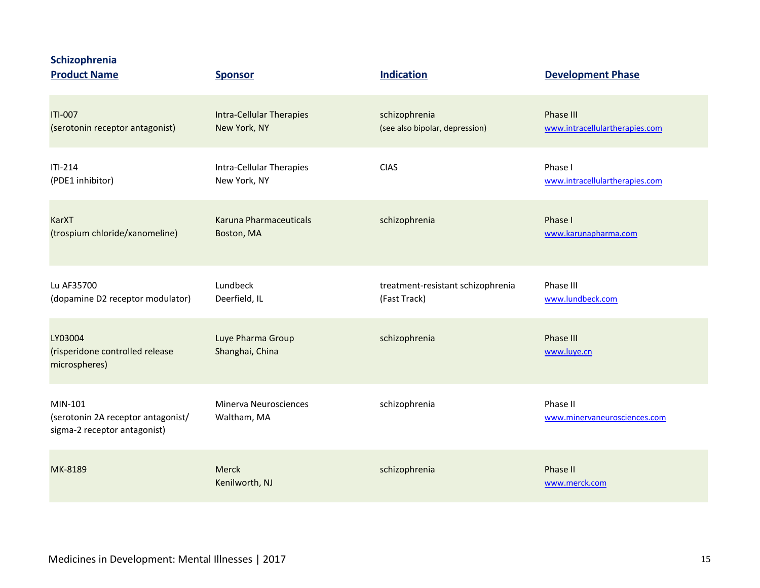| Schizophrenia<br><b>Product Name</b>                                          | <b>Sponsor</b>                       | <b>Indication</b>                 | <b>Development Phase</b>                 |
|-------------------------------------------------------------------------------|--------------------------------------|-----------------------------------|------------------------------------------|
| <b>ITI-007</b>                                                                | <b>Intra-Cellular Therapies</b>      | schizophrenia                     | Phase III                                |
| (serotonin receptor antagonist)                                               | New York, NY                         | (see also bipolar, depression)    | www.intracellulartherapies.com           |
| $ITI-214$                                                                     | Intra-Cellular Therapies             | <b>CIAS</b>                       | Phase I                                  |
| (PDE1 inhibitor)                                                              | New York, NY                         |                                   | www.intracellulartherapies.com           |
| <b>KarXT</b>                                                                  | Karuna Pharmaceuticals               | schizophrenia                     | Phase I                                  |
| (trospium chloride/xanomeline)                                                | Boston, MA                           |                                   | www.karunapharma.com                     |
| Lu AF35700                                                                    | Lundbeck                             | treatment-resistant schizophrenia | Phase III                                |
| (dopamine D2 receptor modulator)                                              | Deerfield, IL                        | (Fast Track)                      | www.lundbeck.com                         |
| LY03004<br>(risperidone controlled release<br>microspheres)                   | Luye Pharma Group<br>Shanghai, China | schizophrenia                     | Phase III<br>www.luye.cn                 |
| MIN-101<br>(serotonin 2A receptor antagonist/<br>sigma-2 receptor antagonist) | Minerva Neurosciences<br>Waltham, MA | schizophrenia                     | Phase II<br>www.minervaneurosciences.com |
| MK-8189                                                                       | <b>Merck</b><br>Kenilworth, NJ       | schizophrenia                     | Phase II<br>www.merck.com                |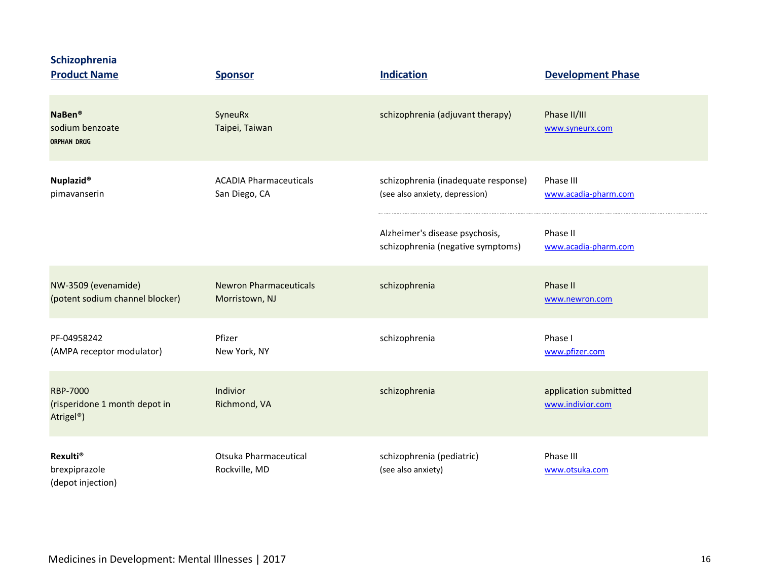| Schizophrenia<br><b>Product Name</b>                                       | <b>Sponsor</b>                                  | <b>Indication</b>                                                     | <b>Development Phase</b>                  |
|----------------------------------------------------------------------------|-------------------------------------------------|-----------------------------------------------------------------------|-------------------------------------------|
| NaBen®<br>sodium benzoate<br><b>ORPHAN DRUG</b>                            | SyneuRx<br>Taipei, Taiwan                       | schizophrenia (adjuvant therapy)                                      | Phase II/III<br>www.syneurx.com           |
| <b>Nuplazid®</b><br>pimavanserin                                           | <b>ACADIA Pharmaceuticals</b><br>San Diego, CA  | schizophrenia (inadequate response)<br>(see also anxiety, depression) | Phase III<br>www.acadia-pharm.com         |
|                                                                            |                                                 | Alzheimer's disease psychosis,<br>schizophrenia (negative symptoms)   | Phase II<br>www.acadia-pharm.com          |
| NW-3509 (evenamide)<br>(potent sodium channel blocker)                     | <b>Newron Pharmaceuticals</b><br>Morristown, NJ | schizophrenia                                                         | Phase II<br>www.newron.com                |
| PF-04958242<br>(AMPA receptor modulator)                                   | Pfizer<br>New York, NY                          | schizophrenia                                                         | Phase I<br>www.pfizer.com                 |
| <b>RBP-7000</b><br>(risperidone 1 month depot in<br>Atrigel <sup>®</sup> ) | Indivior<br>Richmond, VA                        | schizophrenia                                                         | application submitted<br>www.indivior.com |
| <b>Rexulti<sup>®</sup></b><br>brexpiprazole<br>(depot injection)           | Otsuka Pharmaceutical<br>Rockville, MD          | schizophrenia (pediatric)<br>(see also anxiety)                       | Phase III<br>www.otsuka.com               |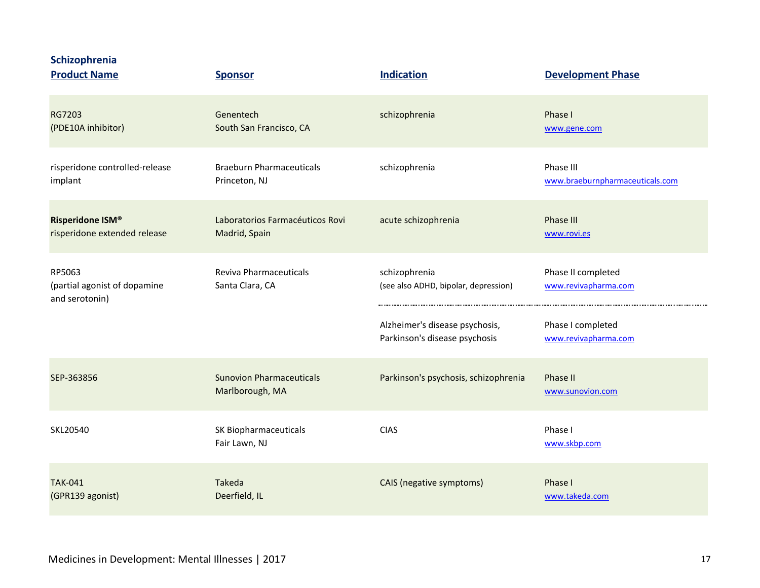**Schizophrenia**

| <b>Product Name</b>                                      | <b>Sponsor</b>                                     | <b>Indication</b>                                               | <b>Development Phase</b>                     |
|----------------------------------------------------------|----------------------------------------------------|-----------------------------------------------------------------|----------------------------------------------|
| RG7203<br>(PDE10A inhibitor)                             | Genentech<br>South San Francisco, CA               | schizophrenia                                                   | Phase I<br>www.gene.com                      |
| risperidone controlled-release<br>implant                | <b>Braeburn Pharmaceuticals</b><br>Princeton, NJ   | schizophrenia                                                   | Phase III<br>www.braeburnpharmaceuticals.com |
| Risperidone ISM®<br>risperidone extended release         | Laboratorios Farmacéuticos Rovi<br>Madrid, Spain   | acute schizophrenia                                             | <b>Phase III</b><br>www.rovi.es              |
| RP5063<br>(partial agonist of dopamine<br>and serotonin) | <b>Reviva Pharmaceuticals</b><br>Santa Clara, CA   | schizophrenia<br>(see also ADHD, bipolar, depression)           | Phase II completed<br>www.revivapharma.com   |
|                                                          |                                                    | Alzheimer's disease psychosis,<br>Parkinson's disease psychosis | Phase I completed<br>www.revivapharma.com    |
| SEP-363856                                               | <b>Sunovion Pharmaceuticals</b><br>Marlborough, MA | Parkinson's psychosis, schizophrenia                            | Phase II<br>www.sunovion.com                 |
| SKL20540                                                 | SK Biopharmaceuticals<br>Fair Lawn, NJ             | <b>CIAS</b>                                                     | Phase I<br>www.skbp.com                      |
| <b>TAK-041</b><br>(GPR139 agonist)                       | Takeda<br>Deerfield, IL                            | CAIS (negative symptoms)                                        | Phase I<br>www.takeda.com                    |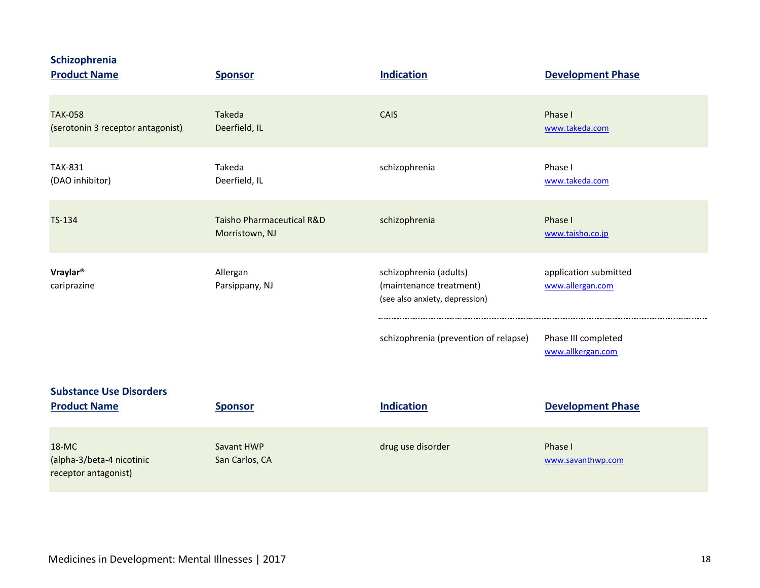**Schizophrenia**

| <b>Product Name</b>                                        | <b>Sponsor</b>                              | <b>Indication</b>                                                                   | <b>Development Phase</b>                  |
|------------------------------------------------------------|---------------------------------------------|-------------------------------------------------------------------------------------|-------------------------------------------|
| <b>TAK-058</b><br>(serotonin 3 receptor antagonist)        | Takeda<br>Deerfield, IL                     | <b>CAIS</b>                                                                         | Phase I<br>www.takeda.com                 |
| <b>TAK-831</b><br>(DAO inhibitor)                          | Takeda<br>Deerfield, IL                     | schizophrenia                                                                       | Phase I<br>www.takeda.com                 |
| TS-134                                                     | Taisho Pharmaceutical R&D<br>Morristown, NJ | schizophrenia                                                                       | Phase I<br>www.taisho.co.jp               |
| Vraylar <sup>®</sup><br>cariprazine                        | Allergan<br>Parsippany, NJ                  | schizophrenia (adults)<br>(maintenance treatment)<br>(see also anxiety, depression) | application submitted<br>www.allergan.com |
|                                                            |                                             | schizophrenia (prevention of relapse)                                               | Phase III completed<br>www.allkergan.com  |
| <b>Substance Use Disorders</b>                             |                                             |                                                                                     |                                           |
| <b>Product Name</b>                                        | <b>Sponsor</b>                              | <b>Indication</b>                                                                   | <b>Development Phase</b>                  |
| 18-MC<br>(alpha-3/beta-4 nicotinic<br>receptor antagonist) | Savant HWP<br>San Carlos, CA                | drug use disorder                                                                   | Phase I<br>www.savanthwp.com              |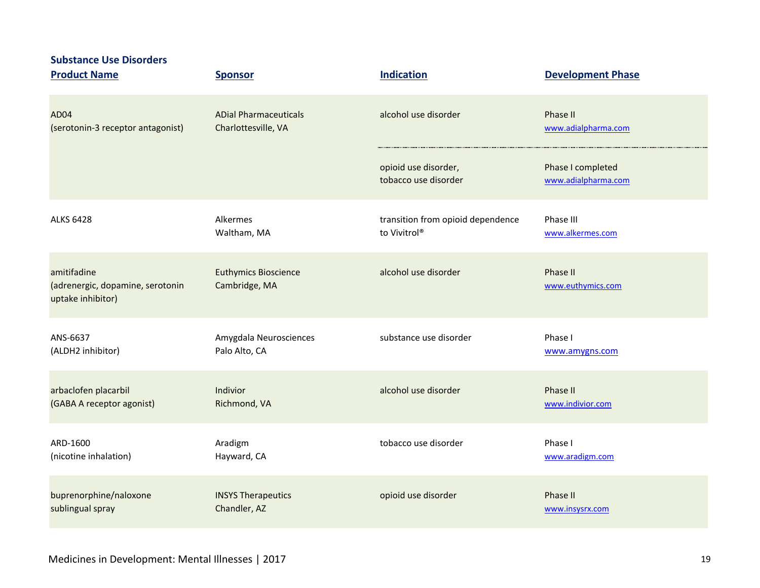| <b>Substance Use Disorders</b><br><b>Product Name</b>                | <b>Sponsor</b>                               | <b>Indication</b>                            | <b>Development Phase</b>                 |
|----------------------------------------------------------------------|----------------------------------------------|----------------------------------------------|------------------------------------------|
| AD04                                                                 | <b>ADial Pharmaceuticals</b>                 | alcohol use disorder                         | Phase II                                 |
| (serotonin-3 receptor antagonist)                                    | Charlottesville, VA                          |                                              | www.adialpharma.com                      |
|                                                                      |                                              | opioid use disorder,<br>tobacco use disorder | Phase I completed<br>www.adialpharma.com |
| <b>ALKS 6428</b>                                                     | Alkermes                                     | transition from opioid dependence            | Phase III                                |
|                                                                      | Waltham, MA                                  | to Vivitrol®                                 | www.alkermes.com                         |
| amitifadine<br>(adrenergic, dopamine, serotonin<br>uptake inhibitor) | <b>Euthymics Bioscience</b><br>Cambridge, MA | alcohol use disorder                         | Phase II<br>www.euthymics.com            |
| ANS-6637                                                             | Amygdala Neurosciences                       | substance use disorder                       | Phase I                                  |
| (ALDH2 inhibitor)                                                    | Palo Alto, CA                                |                                              | www.amygns.com                           |
| arbaclofen placarbil                                                 | Indivior                                     | alcohol use disorder                         | Phase II                                 |
| (GABA A receptor agonist)                                            | Richmond, VA                                 |                                              | www.indivior.com                         |
| ARD-1600                                                             | Aradigm                                      | tobacco use disorder                         | Phase I                                  |
| (nicotine inhalation)                                                | Hayward, CA                                  |                                              | www.aradigm.com                          |
| buprenorphine/naloxone                                               | <b>INSYS Therapeutics</b>                    | opioid use disorder                          | Phase II                                 |
| sublingual spray                                                     | Chandler, AZ                                 |                                              | www.insysrx.com                          |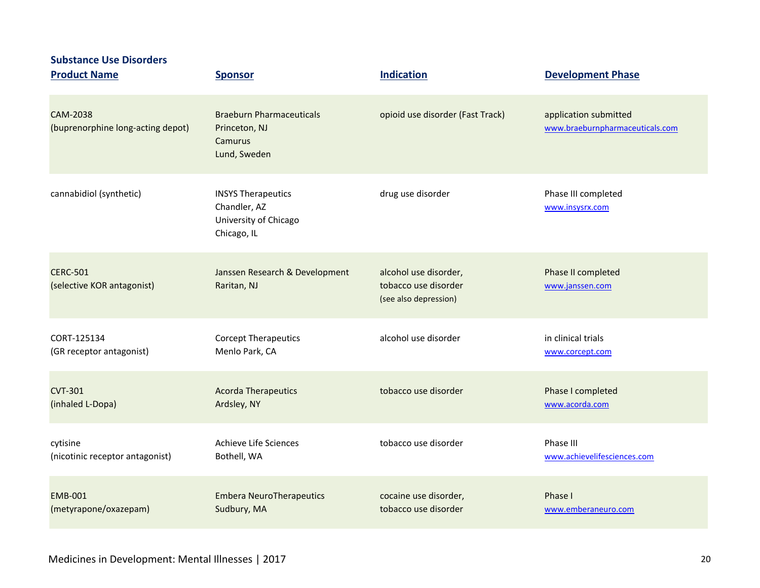| <b>Substance Use Disorders</b><br><b>Product Name</b> | <b>Sponsor</b>                                                                    | <b>Indication</b>                                                      | <b>Development Phase</b>                                 |
|-------------------------------------------------------|-----------------------------------------------------------------------------------|------------------------------------------------------------------------|----------------------------------------------------------|
| <b>CAM-2038</b><br>(buprenorphine long-acting depot)  | <b>Braeburn Pharmaceuticals</b><br>Princeton, NJ<br>Camurus<br>Lund, Sweden       | opioid use disorder (Fast Track)                                       | application submitted<br>www.braeburnpharmaceuticals.com |
| cannabidiol (synthetic)                               | <b>INSYS Therapeutics</b><br>Chandler, AZ<br>University of Chicago<br>Chicago, IL | drug use disorder                                                      | Phase III completed<br>www.insysrx.com                   |
| <b>CERC-501</b><br>(selective KOR antagonist)         | Janssen Research & Development<br>Raritan, NJ                                     | alcohol use disorder,<br>tobacco use disorder<br>(see also depression) | Phase II completed<br>www.janssen.com                    |
| CORT-125134                                           | <b>Corcept Therapeutics</b>                                                       | alcohol use disorder                                                   | in clinical trials                                       |
| (GR receptor antagonist)                              | Menlo Park, CA                                                                    |                                                                        | www.corcept.com                                          |
| <b>CVT-301</b>                                        | <b>Acorda Therapeutics</b>                                                        | tobacco use disorder                                                   | Phase I completed                                        |
| (inhaled L-Dopa)                                      | Ardsley, NY                                                                       |                                                                        | www.acorda.com                                           |
| cytisine                                              | Achieve Life Sciences                                                             | tobacco use disorder                                                   | Phase III                                                |
| (nicotinic receptor antagonist)                       | Bothell, WA                                                                       |                                                                        | www.achievelifesciences.com                              |
| <b>EMB-001</b>                                        | <b>Embera NeuroTherapeutics</b>                                                   | cocaine use disorder,                                                  | Phase I                                                  |
| (metyrapone/oxazepam)                                 | Sudbury, MA                                                                       | tobacco use disorder                                                   | www.emberaneuro.com                                      |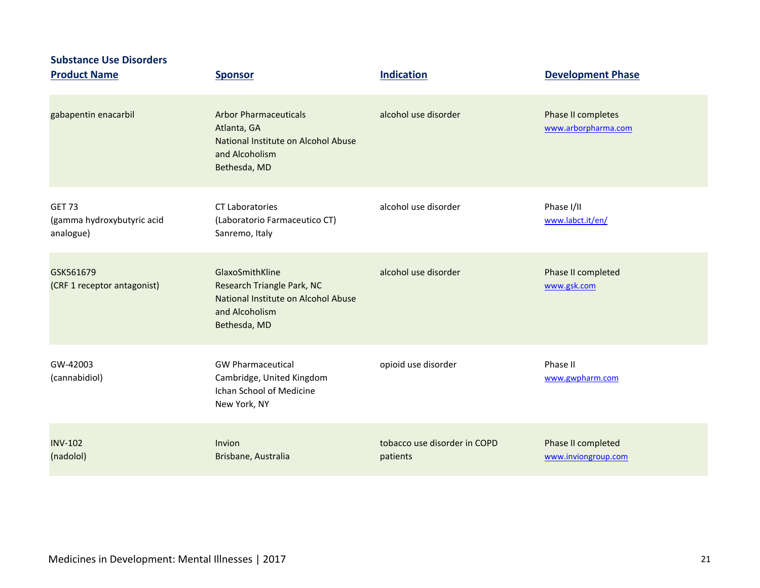| <b>Substance Use Disorders</b><br><b>Product Name</b>    | <b>Sponsor</b>                                                                                                         | <b>Indication</b>                        | <b>Development Phase</b>                  |
|----------------------------------------------------------|------------------------------------------------------------------------------------------------------------------------|------------------------------------------|-------------------------------------------|
| gabapentin enacarbil                                     | <b>Arbor Pharmaceuticals</b><br>Atlanta, GA<br>National Institute on Alcohol Abuse<br>and Alcoholism<br>Bethesda, MD   | alcohol use disorder                     | Phase II completes<br>www.arborpharma.com |
| <b>GET 73</b><br>(gamma hydroxybutyric acid<br>analogue) | <b>CT Laboratories</b><br>(Laboratorio Farmaceutico CT)<br>Sanremo, Italy                                              | alcohol use disorder                     | Phase I/II<br>www.labct.it/en/            |
| GSK561679<br>(CRF 1 receptor antagonist)                 | GlaxoSmithKline<br>Research Triangle Park, NC<br>National Institute on Alcohol Abuse<br>and Alcoholism<br>Bethesda, MD | alcohol use disorder                     | Phase II completed<br>www.gsk.com         |
| GW-42003<br>(cannabidiol)                                | <b>GW Pharmaceutical</b><br>Cambridge, United Kingdom<br><b>Ichan School of Medicine</b><br>New York, NY               | opioid use disorder                      | Phase II<br>www.gwpharm.com               |
| <b>INV-102</b><br>(nadolol)                              | Invion<br>Brisbane, Australia                                                                                          | tobacco use disorder in COPD<br>patients | Phase II completed<br>www.inviongroup.com |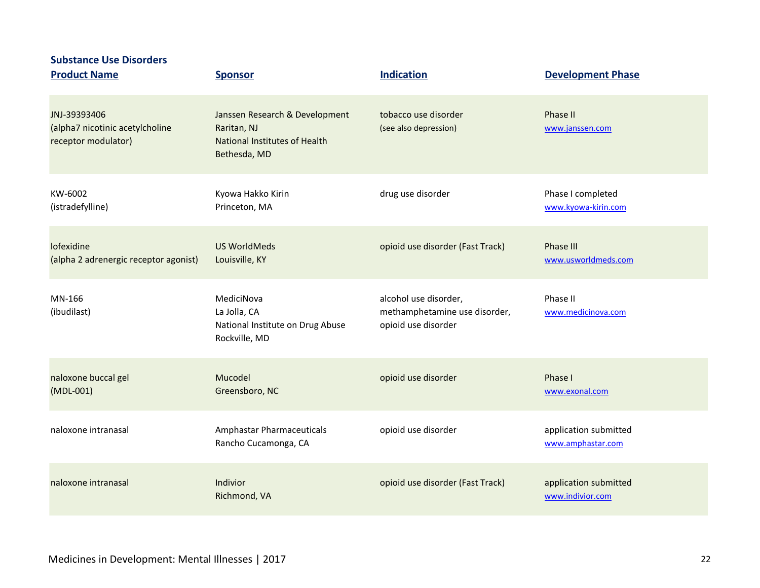| <b>Substance Use Disorders</b><br><b>Product Name</b>                  | <b>Sponsor</b>                                                                                        | <b>Indication</b>                                                             | <b>Development Phase</b>                   |
|------------------------------------------------------------------------|-------------------------------------------------------------------------------------------------------|-------------------------------------------------------------------------------|--------------------------------------------|
|                                                                        |                                                                                                       |                                                                               |                                            |
| JNJ-39393406<br>(alpha7 nicotinic acetylcholine<br>receptor modulator) | Janssen Research & Development<br>Raritan, NJ<br><b>National Institutes of Health</b><br>Bethesda, MD | tobacco use disorder<br>(see also depression)                                 | Phase II<br>www.janssen.com                |
| KW-6002<br>(istradefylline)                                            | Kyowa Hakko Kirin<br>Princeton, MA                                                                    | drug use disorder                                                             | Phase I completed<br>www.kyowa-kirin.com   |
| lofexidine<br>(alpha 2 adrenergic receptor agonist)                    | <b>US WorldMeds</b><br>Louisville, KY                                                                 | opioid use disorder (Fast Track)                                              | Phase III<br>www.usworldmeds.com           |
| MN-166<br>(ibudilast)                                                  | MediciNova<br>La Jolla, CA<br>National Institute on Drug Abuse<br>Rockville, MD                       | alcohol use disorder,<br>methamphetamine use disorder,<br>opioid use disorder | Phase II<br>www.medicinova.com             |
| naloxone buccal gel<br>$(MDL-001)$                                     | Mucodel<br>Greensboro, NC                                                                             | opioid use disorder                                                           | Phase I<br>www.exonal.com                  |
| naloxone intranasal                                                    | Amphastar Pharmaceuticals<br>Rancho Cucamonga, CA                                                     | opioid use disorder                                                           | application submitted<br>www.amphastar.com |
| naloxone intranasal                                                    | Indivior<br>Richmond, VA                                                                              | opioid use disorder (Fast Track)                                              | application submitted<br>www.indivior.com  |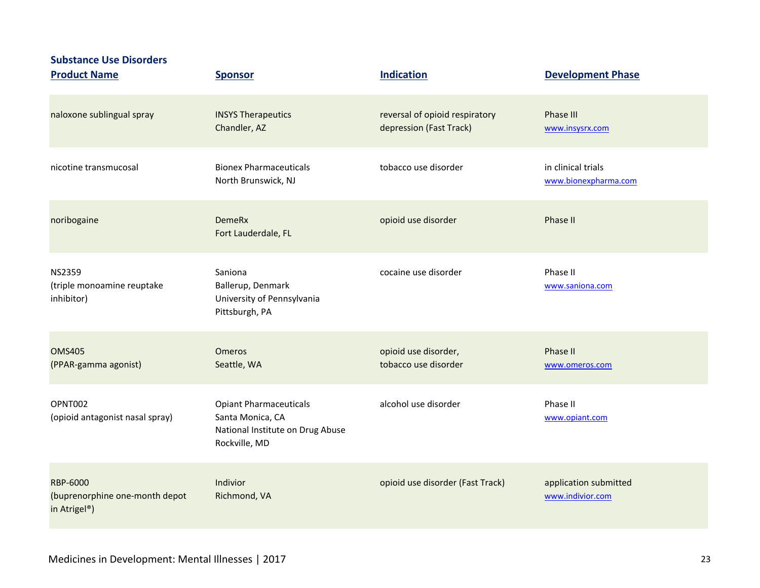### **Substance Use Disorders**

| <b>Product Name</b>                                                            | <b>Sponsor</b>                                                                                         | <b>Indication</b>                                         | <b>Development Phase</b>                   |
|--------------------------------------------------------------------------------|--------------------------------------------------------------------------------------------------------|-----------------------------------------------------------|--------------------------------------------|
| naloxone sublingual spray                                                      | <b>INSYS Therapeutics</b><br>Chandler, AZ                                                              | reversal of opioid respiratory<br>depression (Fast Track) | <b>Phase III</b><br>www.insysrx.com        |
| nicotine transmucosal                                                          | <b>Bionex Pharmaceuticals</b><br>North Brunswick, NJ                                                   | tobacco use disorder                                      | in clinical trials<br>www.bionexpharma.com |
| noribogaine                                                                    | <b>DemeRx</b><br>Fort Lauderdale, FL                                                                   | opioid use disorder                                       | Phase II                                   |
| <b>NS2359</b><br>(triple monoamine reuptake<br>inhibitor)                      | Saniona<br>Ballerup, Denmark<br>University of Pennsylvania<br>Pittsburgh, PA                           | cocaine use disorder                                      | Phase II<br>www.saniona.com                |
| <b>OMS405</b><br>(PPAR-gamma agonist)                                          | <b>Omeros</b><br>Seattle, WA                                                                           | opioid use disorder,<br>tobacco use disorder              | Phase II<br>www.omeros.com                 |
| OPNT002<br>(opioid antagonist nasal spray)                                     | <b>Opiant Pharmaceuticals</b><br>Santa Monica, CA<br>National Institute on Drug Abuse<br>Rockville, MD | alcohol use disorder                                      | Phase II<br>www.opiant.com                 |
| <b>RBP-6000</b><br>(buprenorphine one-month depot<br>in Atrigel <sup>®</sup> ) | Indivior<br>Richmond, VA                                                                               | opioid use disorder (Fast Track)                          | application submitted<br>www.indivior.com  |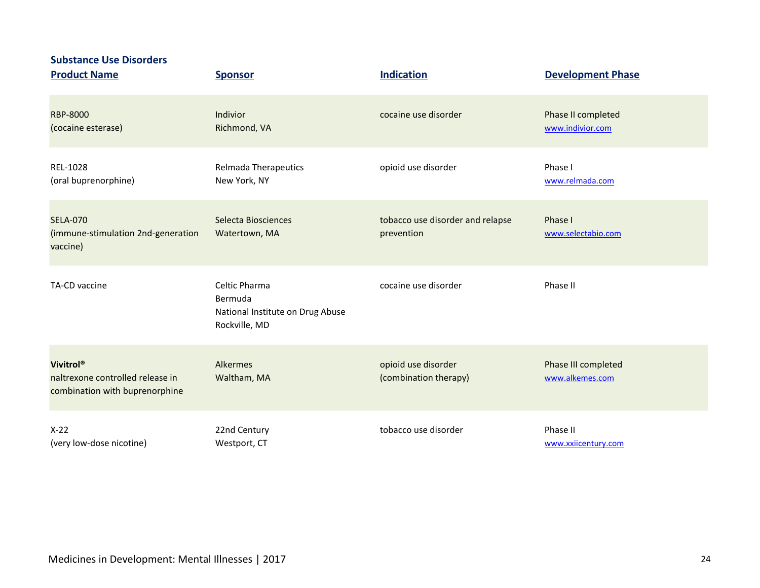**Substance Use Disorders**

| <b>Product Name</b>                                                                         | <b>Sponsor</b>                                                                | <b>Indication</b>                              | <b>Development Phase</b>               |
|---------------------------------------------------------------------------------------------|-------------------------------------------------------------------------------|------------------------------------------------|----------------------------------------|
| <b>RBP-8000</b><br>(cocaine esterase)                                                       | Indivior<br>Richmond, VA                                                      | cocaine use disorder                           | Phase II completed<br>www.indivior.com |
| REL-1028<br>(oral buprenorphine)                                                            | Relmada Therapeutics<br>New York, NY                                          | opioid use disorder                            | Phase I<br>www.relmada.com             |
| <b>SELA-070</b><br>(immune-stimulation 2nd-generation<br>vaccine)                           | Selecta Biosciences<br>Watertown, MA                                          | tobacco use disorder and relapse<br>prevention | Phase I<br>www.selectabio.com          |
| TA-CD vaccine                                                                               | Celtic Pharma<br>Bermuda<br>National Institute on Drug Abuse<br>Rockville, MD | cocaine use disorder                           | Phase II                               |
| Vivitrol <sup>®</sup><br>naltrexone controlled release in<br>combination with buprenorphine | Alkermes<br>Waltham, MA                                                       | opioid use disorder<br>(combination therapy)   | Phase III completed<br>www.alkemes.com |
| $X-22$<br>(very low-dose nicotine)                                                          | 22nd Century<br>Westport, CT                                                  | tobacco use disorder                           | Phase II<br>www.xxiicentury.com        |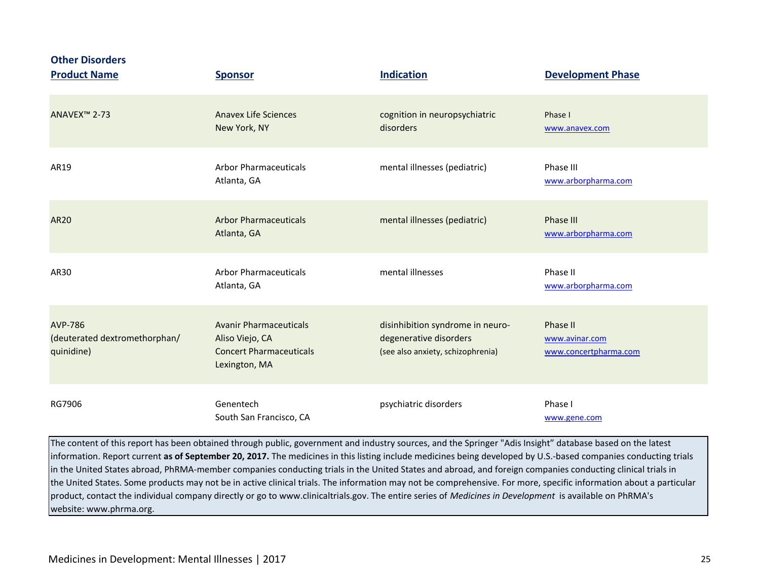| <b>Other Disorders</b><br><b>Product Name</b>                 | <b>Sponsor</b>                                                                                      | <b>Indication</b>                                                                               | <b>Development Phase</b>                            |
|---------------------------------------------------------------|-----------------------------------------------------------------------------------------------------|-------------------------------------------------------------------------------------------------|-----------------------------------------------------|
| ANAVEX <sup>™</sup> 2-73                                      | <b>Anavex Life Sciences</b><br>New York, NY                                                         | cognition in neuropsychiatric<br>disorders                                                      | Phase I<br>www.anavex.com                           |
| AR19                                                          | <b>Arbor Pharmaceuticals</b><br>Atlanta, GA                                                         | mental illnesses (pediatric)                                                                    | Phase III<br>www.arborpharma.com                    |
| <b>AR20</b>                                                   | <b>Arbor Pharmaceuticals</b><br>Atlanta, GA                                                         | mental illnesses (pediatric)                                                                    | Phase III<br>www.arborpharma.com                    |
| AR30                                                          | <b>Arbor Pharmaceuticals</b><br>Atlanta, GA                                                         | mental illnesses                                                                                | Phase II<br>www.arborpharma.com                     |
| <b>AVP-786</b><br>(deuterated dextromethorphan/<br>quinidine) | <b>Avanir Pharmaceuticals</b><br>Aliso Viejo, CA<br><b>Concert Pharmaceuticals</b><br>Lexington, MA | disinhibition syndrome in neuro-<br>degenerative disorders<br>(see also anxiety, schizophrenia) | Phase II<br>www.avinar.com<br>www.concertpharma.com |
| RG7906                                                        | Genentech<br>South San Francisco, CA                                                                | psychiatric disorders                                                                           | Phase I<br>www.gene.com                             |

The content of this report has been obtained through public, government and industry sources, and the Springer "Adis Insight" database based on the latest information. Report current **as of September 20, 2017.** The medicines in this listing include medicines being developed by U.S.-based companies conducting trials in the United States abroad, PhRMA-member companies conducting trials in the United States and abroad, and foreign companies conducting clinical trials in the United States. Some products may not be in active clinical trials. The information may not be comprehensive. For more, specific information about a particular product, contact the individual company directly or go to www.clinicaltrials.gov. The entire series of *Medicines in Development* is available on PhRMA's website: www.phrma.org.